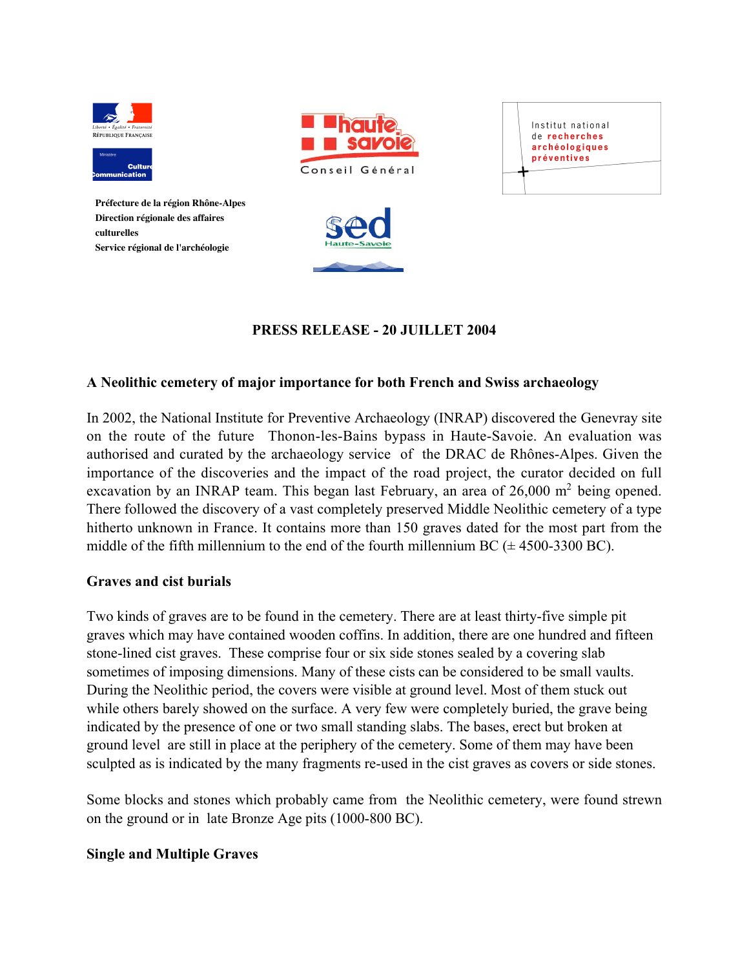



**Préfecture de la région Rhône-Alpes Direction régionale des affaires culturelles Service régional de l'archéologie**





# PRESS RELEASE - 20 JUILLET 2004

## A Neolithic cemetery of major importance for both French and Swiss archaeology

In 2002, the National Institute for Preventive Archaeology (INRAP) discovered the Genevray site on the route of the future Thonon-les-Bains bypass in Haute-Savoie. An evaluation was authorised and curated by the archaeology service of the DRAC de Rhônes-Alpes. Given the importance of the discoveries and the impact of the road project, the curator decided on full excavation by an INRAP team. This began last February, an area of  $26,000 \text{ m}^2$  being opened. There followed the discovery of a vast completely preserved Middle Neolithic cemetery of a type hitherto unknown in France. It contains more than 150 graves dated for the most part from the middle of the fifth millennium to the end of the fourth millennium BC  $(\pm 4500\text{-}3300 \text{ BC})$ .

#### Graves and cist burials

Two kinds of graves are to be found in the cemetery. There are at least thirty-five simple pit graves which may have contained wooden coffins. In addition, there are one hundred and fifteen stone-lined cist graves. These comprise four or six side stones sealed by a covering slab sometimes of imposing dimensions. Many of these cists can be considered to be small vaults. During the Neolithic period, the covers were visible at ground level. Most of them stuck out while others barely showed on the surface. A very few were completely buried, the grave being indicated by the presence of one or two small standing slabs. The bases, erect but broken at ground level are still in place at the periphery of the cemetery. Some of them may have been sculpted as is indicated by the many fragments re-used in the cist graves as covers or side stones.

Some blocks and stones which probably came from the Neolithic cemetery, were found strewn on the ground or in late Bronze Age pits (1000-800 BC).

#### Single and Multiple Graves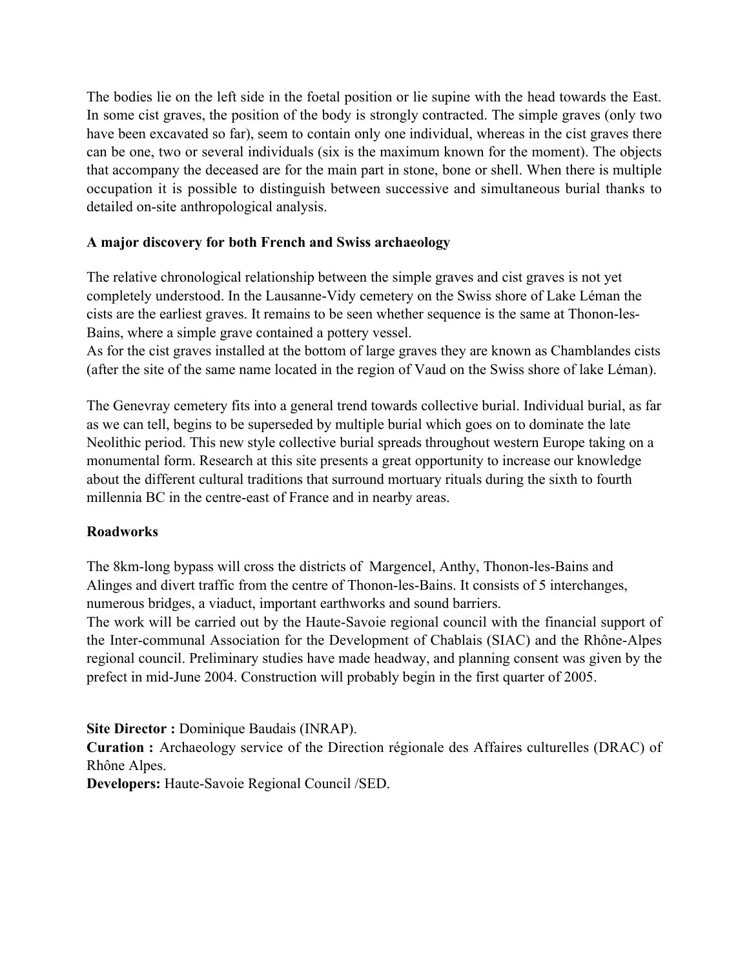The bodies lie on the left side in the foetal position or lie supine with the head towards the East. In some cist graves, the position of the body is strongly contracted. The simple graves (only two have been excavated so far), seem to contain only one individual, whereas in the cist graves there can be one, two or several individuals (six is the maximum known for the moment). The objects that accompany the deceased are for the main part in stone, bone or shell. When there is multiple occupation it is possible to distinguish between successive and simultaneous burial thanks to detailed on-site anthropological analysis.

# A major discovery for both French and Swiss archaeology

The relative chronological relationship between the simple graves and cist graves is not yet completely understood. In the Lausanne-Vidy cemetery on the Swiss shore of Lake Léman the cists are the earliest graves. It remains to be seen whether sequence is the same at Thonon-les-Bains, where a simple grave contained a pottery vessel.

As for the cist graves installed at the bottom of large graves they are known as Chamblandes cists (after the site of the same name located in the region of Vaud on the Swiss shore of lake Léman).

The Genevray cemetery fits into a general trend towards collective burial. Individual burial, as far as we can tell, begins to be superseded by multiple burial which goes on to dominate the late Neolithic period. This new style collective burial spreads throughout western Europe taking on a monumental form. Research at this site presents a great opportunity to increase our knowledge about the different cultural traditions that surround mortuary rituals during the sixth to fourth millennia BC in the centre-east of France and in nearby areas.

## **Roadworks**

The 8km-long bypass will cross the districts of Margencel, Anthy, Thonon-les-Bains and Alinges and divert traffic from the centre of Thonon-les-Bains. It consists of 5 interchanges, numerous bridges, a viaduct, important earthworks and sound barriers.

The work will be carried out by the Haute-Savoie regional council with the financial support of the Inter-communal Association for the Development of Chablais (SIAC) and the Rhône-Alpes regional council. Preliminary studies have made headway, and planning consent was given by the prefect in mid-June 2004. Construction will probably begin in the first quarter of 2005.

Site Director : Dominique Baudais (INRAP).

Curation : Archaeology service of the Direction régionale des Affaires culturelles (DRAC) of Rhône Alpes.

Developers: Haute-Savoie Regional Council /SED.